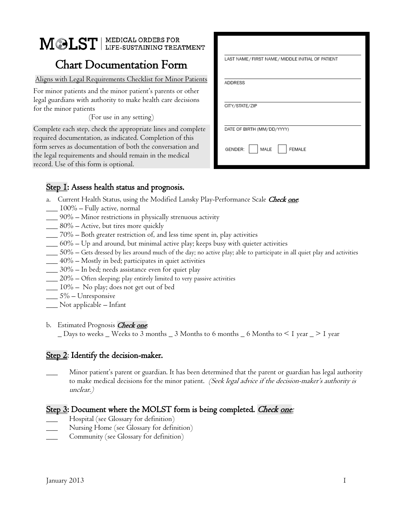# MOLST | MEDICAL ORDERS FOR

# Chart Documentation Form

#### Aligns with Legal Requirements Checklist for Minor Patients

For minor patients and the minor patient's parents or other legal guardians with authority to make health care decisions for the minor patients

(For use in any setting)

Complete each step, check the appropriate lines and complete required documentation, as indicated. Completion of this form serves as documentation of both the conversation and the legal requirements and should remain in the medical record. Use of this form is optional.

| LAST NAME / FIRST NAME / MIDDLE INITIAL OF PATIENT |  |  |
|----------------------------------------------------|--|--|
| <b>ADDRESS</b>                                     |  |  |
| CITY/STATE/ZIP                                     |  |  |
| DATE OF BIRTH (MM/DD/YYYY)                         |  |  |
| MALE<br>GENDER:<br><b>FEMALE</b>                   |  |  |

## Step I: Assess health status and prognosis.

- a. Current Health Status, using the Modified Lansky Play-Performance Scale Check one:
- $\_ 100\%$  Fully active, normal
- \_\_\_ 90% Minor restrictions in physically strenuous activity
- $\sim 80\%$  Active, but tires more quickly
- \_\_\_ 70% Both greater restriction of, and less time spent in, play activities
- $\frac{1}{100}$  60% Up and around, but minimal active play; keeps busy with quieter activities
- \_\_\_ 50% Gets dressed by lies around much of the day; no active play; able to participate in all quiet play and activities
- $\sim$  40% Mostly in bed; participates in quiet activities
- \_\_\_ 30% In bed; needs assistance even for quiet play
- \_\_\_ 20% Often sleeping; play entirely limited to very passive activities
- $\_$   $10\%$   $\,$  No play; does not get out of bed
- \_\_\_ 5% Unresponsive
- \_\_\_ Not applicable Infant

#### b. Estimated Prognosis Check one:

 $\_$  Days to weeks  $\_$  Weeks to 3 months  $\_$  3 Months to 6 months  $\_$  6 Months to  $\leq$  1 year  $\_$   $>$  1 year

# Step 2: Identify the decision-maker.

\_\_\_ Minor patient's parent or guardian. It has been determined that the parent or guardian has legal authority to make medical decisions for the minor patient. (Seek legal advice if the decision-maker's authority is unclear.)

# Step 3: Document where the MOLST form is being completed. *Check <u>one:</u>*

- Hospital (see Glossary for definition)
- Nursing Home (see Glossary for definition)
- Community (see Glossary for definition)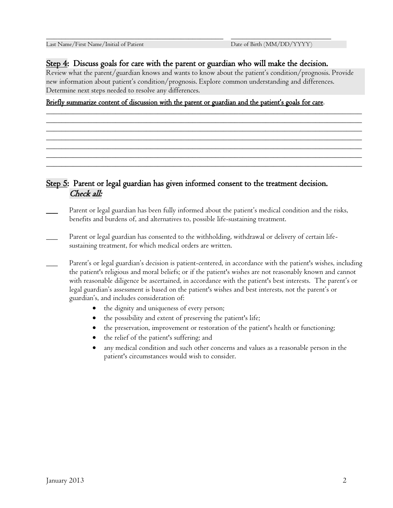#### Step 4: Discuss goals for care with the parent or guardian who will make the decision.

\_\_\_\_\_\_\_\_\_\_\_\_\_\_\_\_\_\_\_\_\_\_\_\_\_\_\_\_\_\_\_\_\_\_\_\_\_\_\_\_\_\_\_\_\_\_ \_\_\_\_\_\_\_\_\_\_\_\_\_\_\_\_\_\_\_\_\_\_\_\_\_\_

Review what the parent/guardian knows and wants to know about the patient's condition/prognosis. Provide new information about patient's condition/prognosis. Explore common understanding and differences. Determine next steps needed to resolve any differences.

\_\_\_\_\_\_\_\_\_\_\_\_\_\_\_\_\_\_\_\_\_\_\_\_\_\_\_\_\_\_\_\_\_\_\_\_\_\_\_\_\_\_\_\_\_\_\_\_\_\_\_\_\_\_\_\_\_\_\_\_\_\_\_\_\_\_\_\_\_\_\_\_\_\_\_\_\_\_\_\_\_\_ \_\_\_\_\_\_\_\_\_\_\_\_\_\_\_\_\_\_\_\_\_\_\_\_\_\_\_\_\_\_\_\_\_\_\_\_\_\_\_\_\_\_\_\_\_\_\_\_\_\_\_\_\_\_\_\_\_\_\_\_\_\_\_\_\_\_\_\_\_\_\_\_\_\_\_\_\_\_\_\_\_\_ \_\_\_\_\_\_\_\_\_\_\_\_\_\_\_\_\_\_\_\_\_\_\_\_\_\_\_\_\_\_\_\_\_\_\_\_\_\_\_\_\_\_\_\_\_\_\_\_\_\_\_\_\_\_\_\_\_\_\_\_\_\_\_\_\_\_\_\_\_\_\_\_\_\_\_\_\_\_\_\_\_\_ \_\_\_\_\_\_\_\_\_\_\_\_\_\_\_\_\_\_\_\_\_\_\_\_\_\_\_\_\_\_\_\_\_\_\_\_\_\_\_\_\_\_\_\_\_\_\_\_\_\_\_\_\_\_\_\_\_\_\_\_\_\_\_\_\_\_\_\_\_\_\_\_\_\_\_\_\_\_\_\_\_\_ \_\_\_\_\_\_\_\_\_\_\_\_\_\_\_\_\_\_\_\_\_\_\_\_\_\_\_\_\_\_\_\_\_\_\_\_\_\_\_\_\_\_\_\_\_\_\_\_\_\_\_\_\_\_\_\_\_\_\_\_\_\_\_\_\_\_\_\_\_\_\_\_\_\_\_\_\_\_\_\_\_\_ \_\_\_\_\_\_\_\_\_\_\_\_\_\_\_\_\_\_\_\_\_\_\_\_\_\_\_\_\_\_\_\_\_\_\_\_\_\_\_\_\_\_\_\_\_\_\_\_\_\_\_\_\_\_\_\_\_\_\_\_\_\_\_\_\_\_\_\_\_\_\_\_\_\_\_\_\_\_\_\_\_\_ \_\_\_\_\_\_\_\_\_\_\_\_\_\_\_\_\_\_\_\_\_\_\_\_\_\_\_\_\_\_\_\_\_\_\_\_\_\_\_\_\_\_\_\_\_\_\_\_\_\_\_\_\_\_\_\_\_\_\_\_\_\_\_\_\_\_\_\_\_\_\_\_\_\_\_\_\_\_\_\_\_\_

#### Briefly summarize content of discussion with the parent or guardian and the patient's goals for care.

#### Step 5: Parent or legal guardian has given informed consent to the treatment decision. Check all:

- Parent or legal guardian has been fully informed about the patient's medical condition and the risks, benefits and burdens of, and alternatives to, possible life-sustaining treatment.
- Parent or legal guardian has consented to the withholding, withdrawal or delivery of certain lifesustaining treatment, for which medical orders are written.
- Parent's or legal guardian's decision is patient-centered, in accordance with the patient's wishes, including the patient's religious and moral beliefs; or if the patient's wishes are not reasonably known and cannot with reasonable diligence be ascertained, in accordance with the patient's best interests. The parent's or legal guardian's assessment is based on the patient's wishes and best interests, not the parent's or guardian's, and includes consideration of:
	- the dignity and uniqueness of every person;
	- the possibility and extent of preserving the patient's life;
	- the preservation, improvement or restoration of the patient's health or functioning;
	- the relief of the patient's suffering; and
	- any medical condition and such other concerns and values as a reasonable person in the patient's circumstances would wish to consider.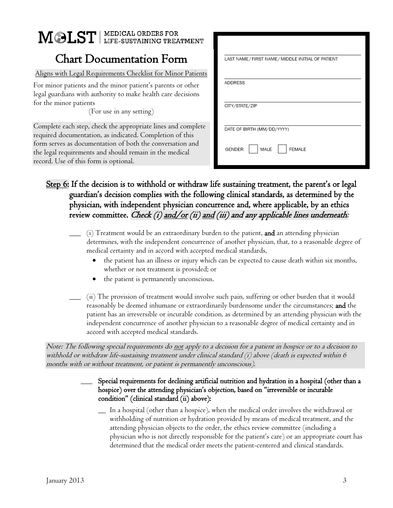# MOLST | MEDICAL ORDERS FOR

# Chart Documentation Form

Aligns with Legal Requirements Checklist for Minor Patients

For minor patients and the minor patient's parents or other legal guardians with authority to make health care decisions for the minor patients

(For use in any setting)

Complete each step, check the appropriate lines and complete required documentation, as indicated. Completion of this form serves as documentation of both the conversation and the legal requirements and should remain in the medical record. Use of this form is optional.

| LAST NAME / FIRST NAME / MIDDLE INITIAL OF PATIENT |  |  |
|----------------------------------------------------|--|--|
| ADDRESS                                            |  |  |
|                                                    |  |  |
| CITY/STATE/ZIP                                     |  |  |
| DATE OF BIRTH (MM/DD/YYYY)                         |  |  |
|                                                    |  |  |
| MALE<br>GENDER:<br><b>FEMALE</b>                   |  |  |

## Step 6: If the decision is to withhold or withdraw life sustaining treatment, the parent's or legal guardian's decision complies with the following clinical standards, as determined by the physician, with independent physician concurrence and, where applicable, by an ethics review committee. Check (i) and/or (ii) and (iii) and any applicable lines underneath:

- \_\_\_ (i) Treatment would be an extraordinary burden to the patient, and an attending physician determines, with the independent concurrence of another physician, that, to a reasonable degree of medical certainty and in accord with accepted medical standards,
	- the patient has an illness or injury which can be expected to cause death within six months, whether or not treatment is provided; or
	- the patient is permanently unconscious.
- \_\_\_ (ii) The provision of treatment would involve such pain, suffering or other burden that it would reasonably be deemed inhumane or extraordinarily burdensome under the circumstances; and the patient has an irreversible or incurable condition, as determined by an attending physician with the independent concurrence of another physician to a reasonable degree of medical certainty and in accord with accepted medical standards.

Note: The following special requirements do <u>not</u> apply to a decision for a patient in hospice or to a decision to withhold or withdraw life-sustaining treatment under clinical standard (i) above (death is expected within 6 months with or without treatment, or patient is permanently unconscious).

#### \_\_\_ Special requirements for declining artificial nutrition and hydration in a hospital (other than a hospice) over the attending physician's objection, based on "irreversible or incurable condition" (clinical standard (ii) above):

In a hospital (other than a hospice), when the medical order involves the withdrawal or withholding of nutrition or hydration provided by means of medical treatment, and the attending physician objects to the order, the ethics review committee (including a physician who is not directly responsible for the patient's care) or an appropriate court has determined that the medical order meets the patient-centered and clinical standards.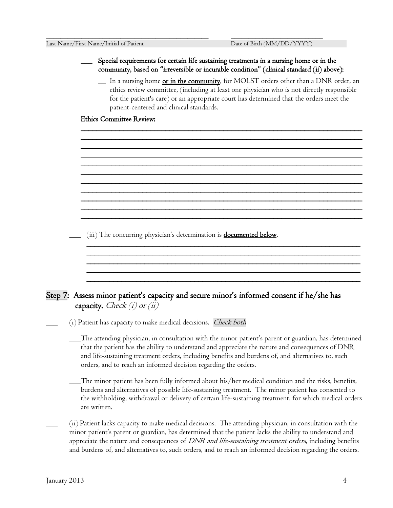#### \_\_\_ Special requirements for certain life sustaining treatments in a nursing home or in the community, based on "irreversible or incurable condition" (clinical standard (ii) above):

\_\_\_\_\_\_\_\_\_\_\_\_\_\_\_\_\_\_\_\_\_\_\_\_\_\_\_\_\_\_\_\_\_\_\_\_\_\_\_\_\_\_\_\_\_\_ \_\_\_\_\_\_\_\_\_\_\_\_\_\_\_\_\_\_\_\_\_\_\_\_\_\_

\_ In a nursing home or in the community, for MOLST orders other than a DNR order, an ethics review committee, (including at least one physician who is not directly responsible for the patient's care) or an appropriate court has determined that the orders meet the patient-centered and clinical standards.

\_\_\_\_\_\_\_\_\_\_\_\_\_\_\_\_\_\_\_\_\_\_\_\_\_\_\_\_\_\_\_\_\_\_\_\_\_\_\_\_\_\_\_\_\_\_\_\_\_\_\_\_\_\_\_\_\_\_\_\_\_\_\_\_\_\_\_\_\_\_\_\_\_ \_\_\_\_\_\_\_\_\_\_\_\_\_\_\_\_\_\_\_\_\_\_\_\_\_\_\_\_\_\_\_\_\_\_\_\_\_\_\_\_\_\_\_\_\_\_\_\_\_\_\_\_\_\_\_\_\_\_\_\_\_\_\_\_\_\_\_\_\_\_\_\_\_ \_\_\_\_\_\_\_\_\_\_\_\_\_\_\_\_\_\_\_\_\_\_\_\_\_\_\_\_\_\_\_\_\_\_\_\_\_\_\_\_\_\_\_\_\_\_\_\_\_\_\_\_\_\_\_\_\_\_\_\_\_\_\_\_\_\_\_\_\_\_\_\_\_ \_\_\_\_\_\_\_\_\_\_\_\_\_\_\_\_\_\_\_\_\_\_\_\_\_\_\_\_\_\_\_\_\_\_\_\_\_\_\_\_\_\_\_\_\_\_\_\_\_\_\_\_\_\_\_\_\_\_\_\_\_\_\_\_\_\_\_\_\_\_\_\_\_ \_\_\_\_\_\_\_\_\_\_\_\_\_\_\_\_\_\_\_\_\_\_\_\_\_\_\_\_\_\_\_\_\_\_\_\_\_\_\_\_\_\_\_\_\_\_\_\_\_\_\_\_\_\_\_\_\_\_\_\_\_\_\_\_\_\_\_\_\_\_\_\_\_ \_\_\_\_\_\_\_\_\_\_\_\_\_\_\_\_\_\_\_\_\_\_\_\_\_\_\_\_\_\_\_\_\_\_\_\_\_\_\_\_\_\_\_\_\_\_\_\_\_\_\_\_\_\_\_\_\_\_\_\_\_\_\_\_\_\_\_\_\_\_\_\_\_ \_\_\_\_\_\_\_\_\_\_\_\_\_\_\_\_\_\_\_\_\_\_\_\_\_\_\_\_\_\_\_\_\_\_\_\_\_\_\_\_\_\_\_\_\_\_\_\_\_\_\_\_\_\_\_\_\_\_\_\_\_\_\_\_\_\_\_\_\_\_\_\_\_ \_\_\_\_\_\_\_\_\_\_\_\_\_\_\_\_\_\_\_\_\_\_\_\_\_\_\_\_\_\_\_\_\_\_\_\_\_\_\_\_\_\_\_\_\_\_\_\_\_\_\_\_\_\_\_\_\_\_\_\_\_\_\_\_\_\_\_\_\_\_\_\_\_ \_\_\_\_\_\_\_\_\_\_\_\_\_\_\_\_\_\_\_\_\_\_\_\_\_\_\_\_\_\_\_\_\_\_\_\_\_\_\_\_\_\_\_\_\_\_\_\_\_\_\_\_\_\_\_\_\_\_\_\_\_\_\_\_\_\_\_\_\_\_\_\_\_ \_\_\_\_\_\_\_\_\_\_\_\_\_\_\_\_\_\_\_\_\_\_\_\_\_\_\_\_\_\_\_\_\_\_\_\_\_\_\_\_\_\_\_\_\_\_\_\_\_\_\_\_\_\_\_\_\_\_\_\_\_\_\_\_\_\_\_\_\_\_\_\_\_ \_\_\_\_\_\_\_\_\_\_\_\_\_\_\_\_\_\_\_\_\_\_\_\_\_\_\_\_\_\_\_\_\_\_\_\_\_\_\_\_\_\_\_\_\_\_\_\_\_\_\_\_\_\_\_\_\_\_\_\_\_\_\_\_\_\_\_\_\_\_\_\_\_

#### Ethics Committee Review:

(iii) The concurring physician's determination is **documented below**.

## Step 7: Assess minor patient's capacity and secure minor's informed consent if he/she has capacity. Check  $(i)$  or  $(ii)$

\_\_\_\_\_\_\_\_\_\_\_\_\_\_\_\_\_\_\_\_\_\_\_\_\_\_\_\_\_\_\_\_\_\_\_\_\_\_\_\_\_\_\_\_\_\_\_\_\_\_\_\_\_\_\_\_\_\_\_\_\_\_\_\_\_\_\_\_\_\_\_

\_\_\_\_\_\_\_\_\_\_\_\_\_\_\_\_\_\_\_\_\_\_\_\_\_\_\_\_\_\_\_\_\_\_\_\_\_\_\_\_\_\_\_\_\_\_\_\_\_\_\_\_\_\_\_\_\_\_\_\_\_\_\_\_\_\_\_\_\_\_\_ \_\_\_\_\_\_\_\_\_\_\_\_\_\_\_\_\_\_\_\_\_\_\_\_\_\_\_\_\_\_\_\_\_\_\_\_\_\_\_\_\_\_\_\_\_\_\_\_\_\_\_\_\_\_\_\_\_\_\_\_\_\_\_\_\_\_\_\_\_\_\_ \_\_\_\_\_\_\_\_\_\_\_\_\_\_\_\_\_\_\_\_\_\_\_\_\_\_\_\_\_\_\_\_\_\_\_\_\_\_\_\_\_\_\_\_\_\_\_\_\_\_\_\_\_\_\_\_\_\_\_\_\_\_\_\_\_\_\_\_\_\_\_ \_\_\_\_\_\_\_\_\_\_\_\_\_\_\_\_\_\_\_\_\_\_\_\_\_\_\_\_\_\_\_\_\_\_\_\_\_\_\_\_\_\_\_\_\_\_\_\_\_\_\_\_\_\_\_\_\_\_\_\_\_\_\_\_\_\_\_\_\_\_\_

(i) Patient has capacity to make medical decisions. Check both

\_\_\_The attending physician, in consultation with the minor patient's parent or guardian, has determined that the patient has the ability to understand and appreciate the nature and consequences of DNR and life-sustaining treatment orders, including benefits and burdens of, and alternatives to, such orders, and to reach an informed decision regarding the orders.

\_\_\_The minor patient has been fully informed about his/her medical condition and the risks, benefits, burdens and alternatives of possible life-sustaining treatment. The minor patient has consented to the withholding, withdrawal or delivery of certain life-sustaining treatment, for which medical orders are written.

\_\_\_ (ii) Patient lacks capacity to make medical decisions. The attending physician, in consultation with the minor patient's parent or guardian, has determined that the patient lacks the ability to understand and appreciate the nature and consequences of DNR and life-sustaining treatment orders, including benefits and burdens of, and alternatives to, such orders, and to reach an informed decision regarding the orders.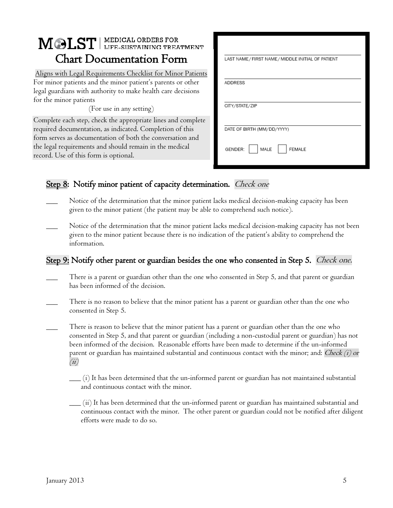# MOLST | MEDICAL ORDERS FOR Chart Documentation Form

Aligns with Legal Requirements Checklist for Minor Patients For minor patients and the minor patient's parents or other legal guardians with authority to make health care decisions for the minor patients

(For use in any setting)

Complete each step, check the appropriate lines and complete required documentation, as indicated. Completion of this form serves as documentation of both the conversation and the legal requirements and should remain in the medical record. Use of this form is optional.

| LAST NAME / FIRST NAME / MIDDLE INITIAL OF PATIENT |  |  |
|----------------------------------------------------|--|--|
|                                                    |  |  |
| <b>ADDRESS</b>                                     |  |  |
| CITY/STATE/ZIP                                     |  |  |
|                                                    |  |  |
| DATE OF BIRTH (MM/DD/YYYY)                         |  |  |
| MALE<br>GENDER:<br><b>FEMALE</b>                   |  |  |

# Step 8: Notify minor patient of capacity determination. *Check one*

- Notice of the determination that the minor patient lacks medical decision-making capacity has been given to the minor patient (the patient may be able to comprehend such notice).
- Notice of the determination that the minor patient lacks medical decision-making capacity has not been given to the minor patient because there is no indication of the patient's ability to comprehend the information.

# Step 9: Notify other parent or guardian besides the one who consented in Step 5. *Check one.*

- There is a parent or guardian other than the one who consented in Step 5, and that parent or guardian has been informed of the decision.
- There is no reason to believe that the minor patient has a parent or guardian other than the one who consented in Step 5.
- There is reason to believe that the minor patient has a parent or guardian other than the one who consented in Step 5, and that parent or guardian (including a non-custodial parent or guardian) has not been informed of the decision. Reasonable efforts have been made to determine if the un-informed parent or guardian has maintained substantial and continuous contact with the minor; and: Check  $(i)$  or  $(ii)$ 
	- $\frac{1}{\sqrt{1-\frac{1}{n}}}$  (i) It has been determined that the un-informed parent or guardian has not maintained substantial and continuous contact with the minor.
	- $\_$  (ii) It has been determined that the un-informed parent or guardian has maintained substantial and continuous contact with the minor. The other parent or guardian could not be notified after diligent efforts were made to do so.